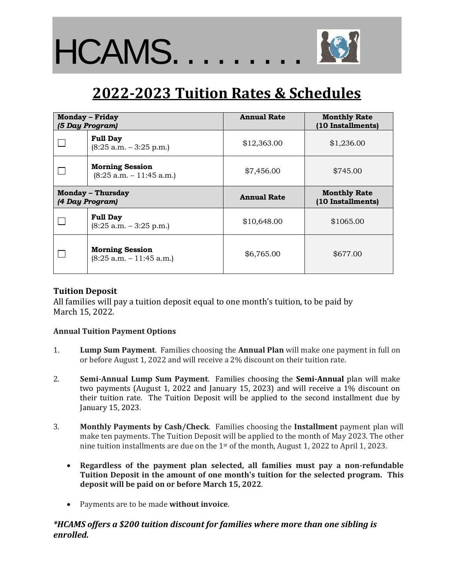

# **2022-2023 Tuition Rates & Schedules**

| <b>Monday - Friday</b><br>(5 Day Program)   |                                                      | <b>Annual Rate</b> | <b>Monthly Rate</b><br>(10 Installments) |
|---------------------------------------------|------------------------------------------------------|--------------------|------------------------------------------|
|                                             | <b>Full Day</b><br>$(8:25 a.m. - 3:25 p.m.)$         | \$12,363.00        | \$1,236.00                               |
|                                             | <b>Morning Session</b><br>$(8:25 a.m. - 11:45 a.m.)$ | \$7,456.00         | \$745.00                                 |
| <b>Monday – Thursday</b><br>(4 Day Program) |                                                      | <b>Annual Rate</b> | <b>Monthly Rate</b><br>(10 Installments) |
|                                             | <b>Full Day</b><br>$(8:25 a.m. - 3:25 p.m.)$         | \$10,648.00        | \$1065.00                                |
|                                             | <b>Morning Session</b><br>$(8:25 a.m. - 11:45 a.m.)$ | \$6,765.00         | \$677.00                                 |

### **Tuition Deposit**

All families will pay a tuition deposit equal to one month's tuition, to be paid by March 15, 2022.

#### **Annual Tuition Payment Options**

- 1. **Lump Sum Payment**. Families choosing the **Annual Plan** will make one payment in full on or before August 1, 2022 and will receive a 2% discount on their tuition rate.
- 2. **Semi-Annual Lump Sum Payment**. Families choosing the **Semi-Annual** plan will make two payments (August 1, 2022 and January 15, 2023) and will receive a 1% discount on their tuition rate. The Tuition Deposit will be applied to the second installment due by January 15, 2023.
- 3. **Monthly Payments by Cash/Check**. Families choosing the **Installment** payment plan will make ten payments. The Tuition Deposit will be applied to the month of May 2023. The other nine tuition installments are due on the 1st of the month, August 1, 2022 to April 1, 2023.
	- **Regardless of the payment plan selected, all families must pay a non-refundable Tuition Deposit in the amount of one month's tuition for the selected program. This deposit will be paid on or before March 15, 2022**.
	- Payments are to be made **without invoice**.

### *\*HCAMS offers a \$200 tuition discount for families where more than one sibling is enrolled.*